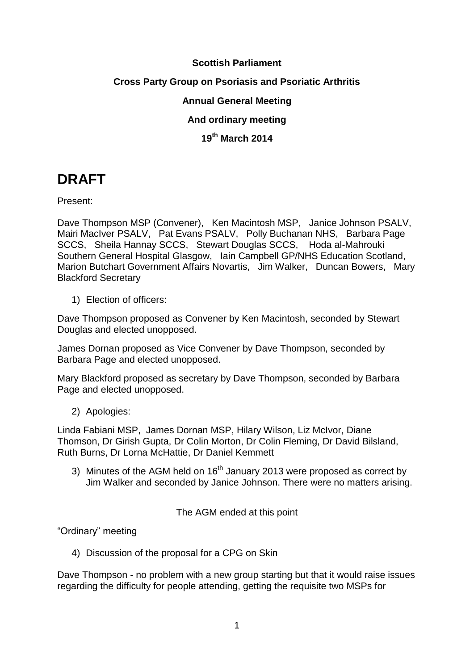# **Scottish Parliament**

## **Cross Party Group on Psoriasis and Psoriatic Arthritis**

### **Annual General Meeting**

# **And ordinary meeting**

## **19th March 2014**

# **DRAFT**

Present:

Dave Thompson MSP (Convener), Ken Macintosh MSP, Janice Johnson PSALV, Mairi MacIver PSALV, Pat Evans PSALV, Polly Buchanan NHS, Barbara Page SCCS, Sheila Hannay SCCS, Stewart Douglas SCCS, Hoda al-Mahrouki Southern General Hospital Glasgow, Iain Campbell GP/NHS Education Scotland, Marion Butchart Government Affairs Novartis, Jim Walker, Duncan Bowers, Mary Blackford Secretary

1) Election of officers:

Dave Thompson proposed as Convener by Ken Macintosh, seconded by Stewart Douglas and elected unopposed.

James Dornan proposed as Vice Convener by Dave Thompson, seconded by Barbara Page and elected unopposed.

Mary Blackford proposed as secretary by Dave Thompson, seconded by Barbara Page and elected unopposed.

2) Apologies:

Linda Fabiani MSP, James Dornan MSP, Hilary Wilson, Liz McIvor, Diane Thomson, Dr Girish Gupta, Dr Colin Morton, Dr Colin Fleming, Dr David Bilsland, Ruth Burns, Dr Lorna McHattie, Dr Daniel Kemmett

3) Minutes of the AGM held on 16<sup>th</sup> January 2013 were proposed as correct by Jim Walker and seconded by Janice Johnson. There were no matters arising.

The AGM ended at this point

"Ordinary" meeting

4) Discussion of the proposal for a CPG on Skin

Dave Thompson - no problem with a new group starting but that it would raise issues regarding the difficulty for people attending, getting the requisite two MSPs for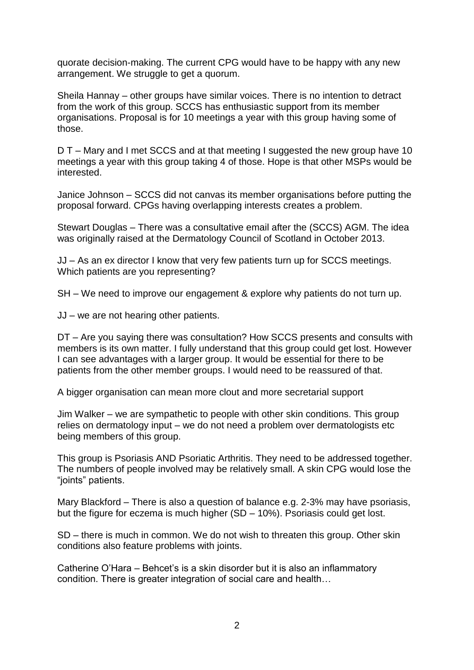quorate decision-making. The current CPG would have to be happy with any new arrangement. We struggle to get a quorum.

Sheila Hannay – other groups have similar voices. There is no intention to detract from the work of this group. SCCS has enthusiastic support from its member organisations. Proposal is for 10 meetings a year with this group having some of those.

D T – Mary and I met SCCS and at that meeting I suggested the new group have 10 meetings a year with this group taking 4 of those. Hope is that other MSPs would be interested.

Janice Johnson – SCCS did not canvas its member organisations before putting the proposal forward. CPGs having overlapping interests creates a problem.

Stewart Douglas – There was a consultative email after the (SCCS) AGM. The idea was originally raised at the Dermatology Council of Scotland in October 2013.

JJ – As an ex director I know that very few patients turn up for SCCS meetings. Which patients are you representing?

SH – We need to improve our engagement & explore why patients do not turn up.

JJ – we are not hearing other patients.

DT – Are you saying there was consultation? How SCCS presents and consults with members is its own matter. I fully understand that this group could get lost. However I can see advantages with a larger group. It would be essential for there to be patients from the other member groups. I would need to be reassured of that.

A bigger organisation can mean more clout and more secretarial support

Jim Walker – we are sympathetic to people with other skin conditions. This group relies on dermatology input – we do not need a problem over dermatologists etc being members of this group.

This group is Psoriasis AND Psoriatic Arthritis. They need to be addressed together. The numbers of people involved may be relatively small. A skin CPG would lose the "joints" patients.

Mary Blackford – There is also a question of balance e.g. 2-3% may have psoriasis, but the figure for eczema is much higher (SD – 10%). Psoriasis could get lost.

SD – there is much in common. We do not wish to threaten this group. Other skin conditions also feature problems with joints.

Catherine O'Hara – Behcet's is a skin disorder but it is also an inflammatory condition. There is greater integration of social care and health…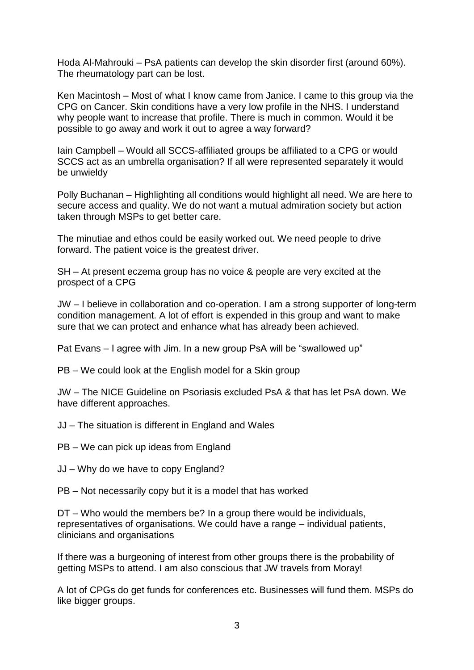Hoda Al-Mahrouki – PsA patients can develop the skin disorder first (around 60%). The rheumatology part can be lost.

Ken Macintosh – Most of what I know came from Janice. I came to this group via the CPG on Cancer. Skin conditions have a very low profile in the NHS. I understand why people want to increase that profile. There is much in common. Would it be possible to go away and work it out to agree a way forward?

Iain Campbell – Would all SCCS-affiliated groups be affiliated to a CPG or would SCCS act as an umbrella organisation? If all were represented separately it would be unwieldy

Polly Buchanan – Highlighting all conditions would highlight all need. We are here to secure access and quality. We do not want a mutual admiration society but action taken through MSPs to get better care.

The minutiae and ethos could be easily worked out. We need people to drive forward. The patient voice is the greatest driver.

SH – At present eczema group has no voice & people are very excited at the prospect of a CPG

JW – I believe in collaboration and co-operation. I am a strong supporter of long-term condition management. A lot of effort is expended in this group and want to make sure that we can protect and enhance what has already been achieved.

Pat Evans – I agree with Jim. In a new group PsA will be "swallowed up"

PB – We could look at the English model for a Skin group

JW – The NICE Guideline on Psoriasis excluded PsA & that has let PsA down. We have different approaches.

JJ – The situation is different in England and Wales

PB – We can pick up ideas from England

JJ – Why do we have to copy England?

PB – Not necessarily copy but it is a model that has worked

DT – Who would the members be? In a group there would be individuals, representatives of organisations. We could have a range – individual patients, clinicians and organisations

If there was a burgeoning of interest from other groups there is the probability of getting MSPs to attend. I am also conscious that JW travels from Moray!

A lot of CPGs do get funds for conferences etc. Businesses will fund them. MSPs do like bigger groups.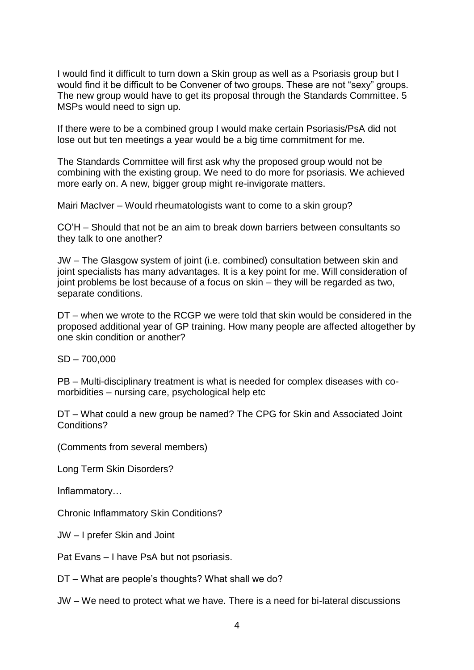I would find it difficult to turn down a Skin group as well as a Psoriasis group but I would find it be difficult to be Convener of two groups. These are not "sexy" groups. The new group would have to get its proposal through the Standards Committee. 5 MSPs would need to sign up.

If there were to be a combined group I would make certain Psoriasis/PsA did not lose out but ten meetings a year would be a big time commitment for me.

The Standards Committee will first ask why the proposed group would not be combining with the existing group. We need to do more for psoriasis. We achieved more early on. A new, bigger group might re-invigorate matters.

Mairi MacIver – Would rheumatologists want to come to a skin group?

CO'H – Should that not be an aim to break down barriers between consultants so they talk to one another?

JW – The Glasgow system of joint (i.e. combined) consultation between skin and joint specialists has many advantages. It is a key point for me. Will consideration of joint problems be lost because of a focus on skin – they will be regarded as two, separate conditions.

DT – when we wrote to the RCGP we were told that skin would be considered in the proposed additional year of GP training. How many people are affected altogether by one skin condition or another?

SD – 700,000

PB – Multi-disciplinary treatment is what is needed for complex diseases with comorbidities – nursing care, psychological help etc

DT – What could a new group be named? The CPG for Skin and Associated Joint Conditions?

(Comments from several members)

Long Term Skin Disorders?

Inflammatory…

Chronic Inflammatory Skin Conditions?

JW – I prefer Skin and Joint

Pat Evans – I have PsA but not psoriasis.

DT – What are people's thoughts? What shall we do?

JW – We need to protect what we have. There is a need for bi-lateral discussions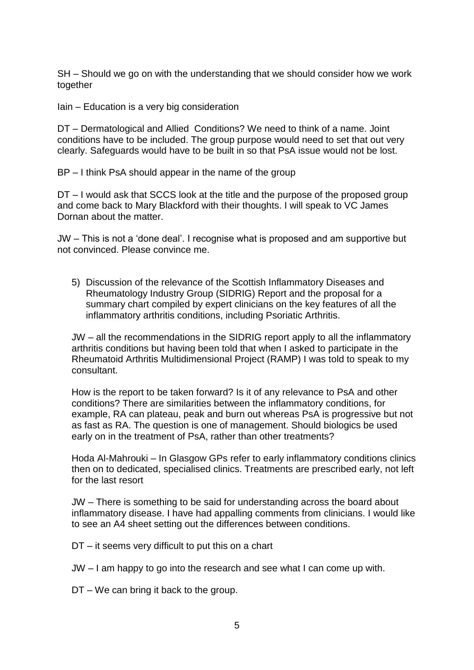SH – Should we go on with the understanding that we should consider how we work together

Iain – Education is a very big consideration

DT – Dermatological and Allied Conditions? We need to think of a name. Joint conditions have to be included. The group purpose would need to set that out very clearly. Safeguards would have to be built in so that PsA issue would not be lost.

BP – I think PsA should appear in the name of the group

DT – I would ask that SCCS look at the title and the purpose of the proposed group and come back to Mary Blackford with their thoughts. I will speak to VC James Dornan about the matter.

JW – This is not a 'done deal'. I recognise what is proposed and am supportive but not convinced. Please convince me.

5) Discussion of the relevance of the Scottish Inflammatory Diseases and Rheumatology Industry Group (SIDRIG) Report and the proposal for a summary chart compiled by expert clinicians on the key features of all the inflammatory arthritis conditions, including Psoriatic Arthritis.

JW – all the recommendations in the SIDRIG report apply to all the inflammatory arthritis conditions but having been told that when I asked to participate in the Rheumatoid Arthritis Multidimensional Project (RAMP) I was told to speak to my consultant.

How is the report to be taken forward? Is it of any relevance to PsA and other conditions? There are similarities between the inflammatory conditions, for example, RA can plateau, peak and burn out whereas PsA is progressive but not as fast as RA. The question is one of management. Should biologics be used early on in the treatment of PsA, rather than other treatments?

Hoda Al-Mahrouki – In Glasgow GPs refer to early inflammatory conditions clinics then on to dedicated, specialised clinics. Treatments are prescribed early, not left for the last resort

JW – There is something to be said for understanding across the board about inflammatory disease. I have had appalling comments from clinicians. I would like to see an A4 sheet setting out the differences between conditions.

DT – it seems very difficult to put this on a chart

JW – I am happy to go into the research and see what I can come up with.

DT – We can bring it back to the group.